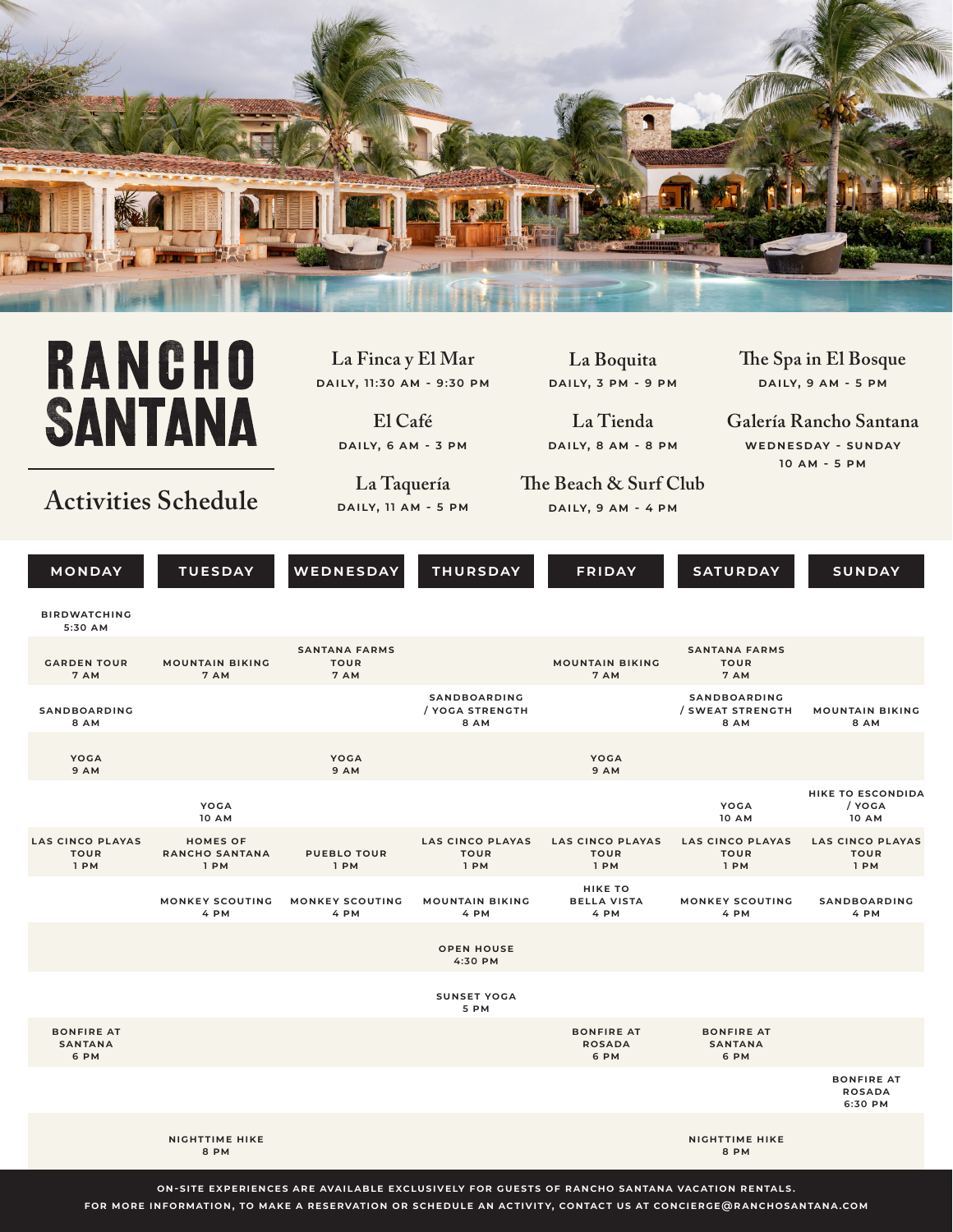

## **RANCHO SANTANA**

## **Activities Schedule**

**La Finca y El Mar daily, 11:30 am - 9:30 pm**

> **El Café daily, 6 am - 3 pm**

**La Taquería daily, 11 am - 5 pm**

**La Boquita daily, 3 pm - 9 pm**

**La Tienda daily, 8 am - 8 pm**

**The Beach & Surf Club daily, 9 am - 4 pm**

**The Spa in El Bosque daily, 9 am - 5 pm**

**Galería Rancho Santana wednesday - sunday 10 am - 5 pm**

| <b>MONDAY</b>                                  | <b>TUESDAY</b>                                   | WEDNESDAY                                   | <b>THURSDAY</b>                                | <b>FRIDAY</b>                                  | <b>SATURDAY</b>                                 | <b>SUNDAY</b>                                      |
|------------------------------------------------|--------------------------------------------------|---------------------------------------------|------------------------------------------------|------------------------------------------------|-------------------------------------------------|----------------------------------------------------|
| <b>BIRDWATCHING</b><br>5:30 AM                 |                                                  |                                             |                                                |                                                |                                                 |                                                    |
| <b>GARDEN TOUR</b><br>7 AM                     | <b>MOUNTAIN BIKING</b><br>7 AM                   | <b>SANTANA FARMS</b><br><b>TOUR</b><br>7 AM |                                                | <b>MOUNTAIN BIKING</b><br>7 AM                 | <b>SANTANA FARMS</b><br><b>TOUR</b><br>7 AM     |                                                    |
| <b>SANDBOARDING</b><br>8 AM                    |                                                  |                                             | SANDBOARDING<br>/ YOGA STRENGTH<br><b>8 AM</b> |                                                | <b>SANDBOARDING</b><br>/ SWEAT STRENGTH<br>8 AM | <b>MOUNTAIN BIKING</b><br>8 AM                     |
| <b>YOGA</b><br><b>9 AM</b>                     |                                                  | <b>YOGA</b><br><b>9 AM</b>                  |                                                | YOGA<br>9 AM                                   |                                                 |                                                    |
|                                                | <b>YOGA</b><br><b>10 AM</b>                      |                                             |                                                |                                                | YOGA<br><b>10 AM</b>                            | <b>HIKE TO ESCONDIDA</b><br>/ YOGA<br><b>10 AM</b> |
| <b>LAS CINCO PLAYAS</b><br><b>TOUR</b><br>1 PM | <b>HOMES OF</b><br><b>RANCHO SANTANA</b><br>1 PM | <b>PUEBLO TOUR</b><br>1 PM                  | <b>LAS CINCO PLAYAS</b><br><b>TOUR</b><br>1 PM | <b>LAS CINCO PLAYAS</b><br><b>TOUR</b><br>1 PM | <b>LAS CINCO PLAYAS</b><br><b>TOUR</b><br>1 PM  | <b>LAS CINCO PLAYAS</b><br><b>TOUR</b><br>1 PM     |
|                                                | <b>MONKEY SCOUTING</b><br>4 PM                   | <b>MONKEY SCOUTING</b><br>4 PM              | <b>MOUNTAIN BIKING</b><br>4 PM                 | <b>HIKE TO</b><br><b>BELLA VISTA</b><br>4 PM   | MONKEY SCOUTING<br>4 PM                         | <b>SANDBOARDING</b><br>4 PM                        |
|                                                |                                                  |                                             | <b>OPEN HOUSE</b><br>4:30 PM                   |                                                |                                                 |                                                    |
|                                                |                                                  |                                             | <b>SUNSET YOGA</b><br>5 PM                     |                                                |                                                 |                                                    |
| <b>BONFIRE AT</b><br><b>SANTANA</b><br>6 PM    |                                                  |                                             |                                                | <b>BONFIRE AT</b><br><b>ROSADA</b><br>6 PM     | <b>BONFIRE AT</b><br><b>SANTANA</b><br>6 PM     |                                                    |
|                                                |                                                  |                                             |                                                |                                                |                                                 | <b>BONFIRE AT</b><br><b>ROSADA</b><br>6:30 PM      |
|                                                | <b>NIGHTTIME HIKE</b><br>8 PM                    |                                             |                                                |                                                | <b>NIGHTTIME HIKE</b><br>8 PM                   |                                                    |

**on-site experiences are available exclusively for guests of rancho santana vacation rentals. for more information, to make a reservation or schedule an activity, contact us at concierge@ranchosantana.com**